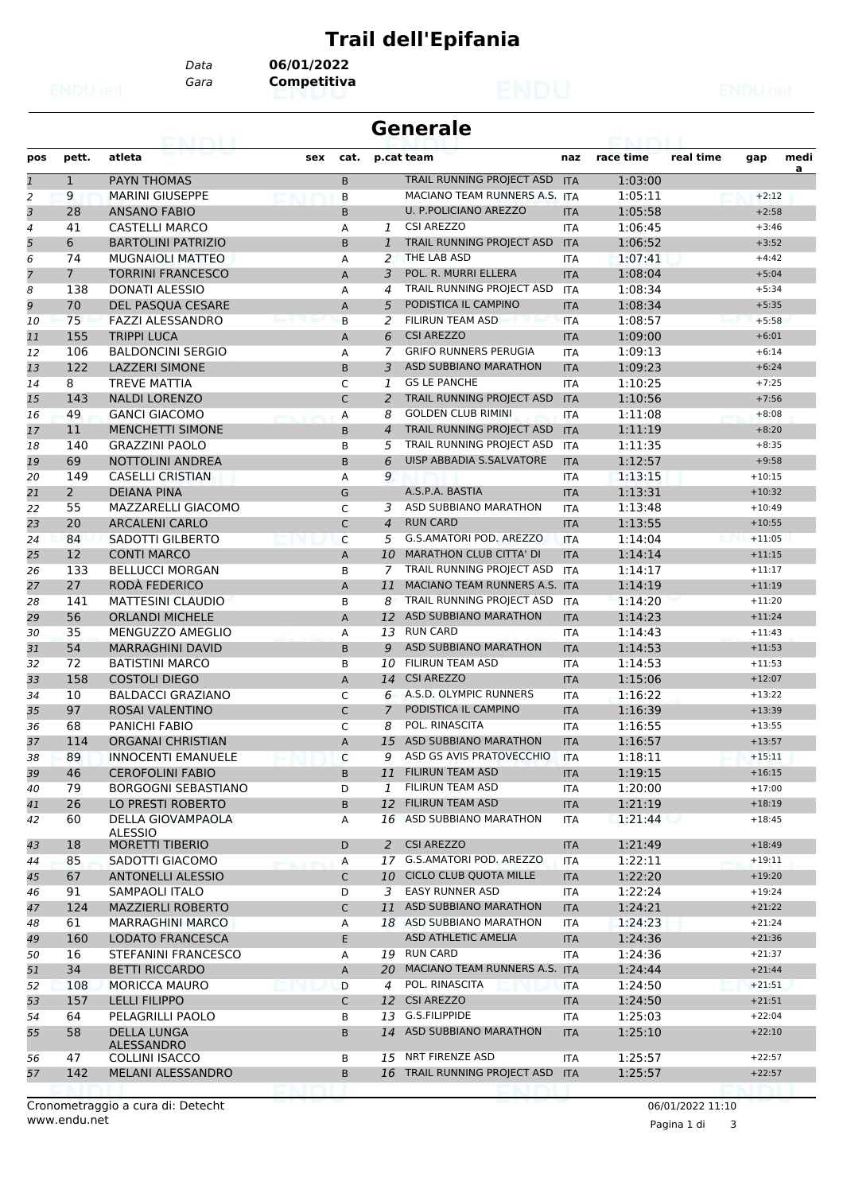## **Trail dell'Epifania**

*Gara* **Competitiva** *Data* **06/01/2022**

|                          |                | eannai                           |     |              | <b>Generale</b> |                                 |            |           |           |          |      |
|--------------------------|----------------|----------------------------------|-----|--------------|-----------------|---------------------------------|------------|-----------|-----------|----------|------|
| pos                      | pett.          | atleta                           | sex | cat.         |                 | p.cat team                      | naz        | race time | real time | gap      | medi |
| $\mathbf{1}$             | $\mathbf{1}$   | <b>PAYN THOMAS</b>               |     | B            |                 | TRAIL RUNNING PROJECT ASD       | <b>ITA</b> | 1:03:00   |           |          | a    |
| $\overline{2}$           | 9              | <b>MARINI GIUSEPPE</b>           |     | B            |                 | MACIANO TEAM RUNNERS A.S.       | <b>ITA</b> | 1:05:11   |           | $+2:12$  |      |
| 3                        | 28             | <b>ANSANO FABIO</b>              |     | B            |                 | <b>U. P.POLICIANO AREZZO</b>    | <b>ITA</b> | 1:05:58   |           | $+2:58$  |      |
| $\overline{\mathcal{A}}$ | 41             | <b>CASTELLI MARCO</b>            |     | Α            | 1               | <b>CSI AREZZO</b>               | <b>ITA</b> | 1:06:45   |           | $+3:46$  |      |
| 5                        | 6              | <b>BARTOLINI PATRIZIO</b>        |     | B            | 1               | TRAIL RUNNING PROJECT ASD       | <b>ITA</b> | 1:06:52   |           | $+3:52$  |      |
| 6                        | 74             | <b>MUGNAIOLI MATTEO</b>          |     | А            | 2               | THE LAB ASD                     | <b>ITA</b> | 1:07:41   |           | $+4:42$  |      |
| 7                        | $\overline{7}$ | <b>TORRINI FRANCESCO</b>         |     | Α            | 3               | POL. R. MURRI ELLERA            | <b>ITA</b> | 1:08:04   |           | $+5:04$  |      |
| 8                        | 138            | <b>DONATI ALESSIO</b>            |     | A            | 4               | TRAIL RUNNING PROJECT ASD       | <b>ITA</b> | 1:08:34   |           | $+5:34$  |      |
| 9                        | 70             | DEL PASQUA CESARE                |     | Α            | 5               | PODISTICA IL CAMPINO            | <b>ITA</b> | 1:08:34   |           | $+5:35$  |      |
| 10                       | 75             | <b>FAZZI ALESSANDRO</b>          |     | B            | 2               | <b>FILIRUN TEAM ASD</b>         | <b>ITA</b> | 1:08:57   |           | $+5:58$  |      |
| 11                       | 155            | <b>TRIPPI LUCA</b>               |     | Α            | 6               | <b>CSI AREZZO</b>               | <b>ITA</b> | 1:09:00   |           | $+6:01$  |      |
| 12                       | 106            | <b>BALDONCINI SERGIO</b>         |     | А            | 7               | <b>GRIFO RUNNERS PERUGIA</b>    | <b>ITA</b> | 1:09:13   |           | $+6:14$  |      |
| 13                       | 122            | <b>LAZZERI SIMONE</b>            |     | B            | 3               | <b>ASD SUBBIANO MARATHON</b>    | <b>ITA</b> | 1:09:23   |           | $+6:24$  |      |
| 14                       | 8              | <b>TREVE MATTIA</b>              |     | C            | 1               | <b>GS LE PANCHE</b>             | <b>ITA</b> | 1:10:25   |           | $+7:25$  |      |
| 15                       | 143            | <b>NALDI LORENZO</b>             |     | C            | 2               | TRAIL RUNNING PROJECT ASD       | <b>ITA</b> | 1:10:56   |           | $+7:56$  |      |
| 16                       | 49             | <b>GANCI GIACOMO</b>             |     | Α            | 8               | <b>GOLDEN CLUB RIMINI</b>       | <b>ITA</b> | 1:11:08   |           | $+8:08$  |      |
| 17                       | 11             | <b>MENCHETTI SIMONE</b>          |     | B            | $\overline{4}$  | TRAIL RUNNING PROJECT ASD       | <b>ITA</b> | 1:11:19   |           | $+8:20$  |      |
| 18                       | 140            | <b>GRAZZINI PAOLO</b>            |     | B            | 5               | TRAIL RUNNING PROJECT ASD       | <b>ITA</b> | 1:11:35   |           | $+8:35$  |      |
| 19                       | 69             | NOTTOLINI ANDREA                 |     | B            | 6               | <b>UISP ABBADIA S.SALVATORE</b> | <b>ITA</b> | 1:12:57   |           | $+9:58$  |      |
| 20                       | 149            | <b>CASELLI CRISTIAN</b>          |     | Α            | 9               |                                 | ITA        | 1:13:15   |           | $+10:15$ |      |
| 21                       | $\overline{2}$ | <b>DEIANA PINA</b>               |     | G            |                 | A.S.P.A. BASTIA                 | <b>ITA</b> | 1:13:31   |           | $+10:32$ |      |
| 22                       | 55             | MAZZARELLI GIACOMO               |     | C            | 3               | ASD SUBBIANO MARATHON           | <b>ITA</b> | 1:13:48   |           | $+10:49$ |      |
| 23                       | 20             | <b>ARCALENI CARLO</b>            |     | $\mathsf{C}$ | $\overline{4}$  | <b>RUN CARD</b>                 | <b>ITA</b> | 1:13:55   |           | $+10:55$ |      |
| 24                       | 84             | <b>SADOTTI GILBERTO</b>          |     | C            | 5               | G.S.AMATORI POD. AREZZO         | <b>ITA</b> | 1:14:04   |           | $+11:05$ |      |
| 25                       | 12             | <b>CONTI MARCO</b>               |     | A            | 10              | <b>MARATHON CLUB CITTA' DI</b>  | <b>ITA</b> | 1:14:14   |           | $+11:15$ |      |
| 26                       | 133            | <b>BELLUCCI MORGAN</b>           |     | B            | 7               | TRAIL RUNNING PROJECT ASD       | <b>ITA</b> | 1:14:17   |           | $+11:17$ |      |
| 27                       | 27             | RODÀ FEDERICO                    |     | Α            | 11              | MACIANO TEAM RUNNERS A.S. ITA   |            | 1:14:19   |           | $+11:19$ |      |
| 28                       | 141            | <b>MATTESINI CLAUDIO</b>         |     | B            | 8               | TRAIL RUNNING PROJECT ASD       | <b>ITA</b> | 1:14:20   |           | $+11:20$ |      |
| 29                       | 56             | <b>ORLANDI MICHELE</b>           |     | A            | 12              | <b>ASD SUBBIANO MARATHON</b>    | <b>ITA</b> | 1:14:23   |           | $+11:24$ |      |
| 30                       | 35             | MENGUZZO AMEGLIO                 |     | Α            | 13              | <b>RUN CARD</b>                 | ITA        | 1:14:43   |           | $+11:43$ |      |
| 31                       | 54             | <b>MARRAGHINI DAVID</b>          |     | B            | 9               | <b>ASD SUBBIANO MARATHON</b>    | <b>ITA</b> | 1:14:53   |           | $+11:53$ |      |
| 32                       | 72             | <b>BATISTINI MARCO</b>           |     | B            | 10              | <b>FILIRUN TEAM ASD</b>         | <b>ITA</b> | 1:14:53   |           | $+11:53$ |      |
| 33                       | 158            | <b>COSTOLI DIEGO</b>             |     | Α            | 14              | <b>CSI AREZZO</b>               | <b>ITA</b> | 1:15:06   |           | $+12:07$ |      |
| 34                       | 10             | <b>BALDACCI GRAZIANO</b>         |     | C            | 6               | A.S.D. OLYMPIC RUNNERS          | <b>ITA</b> | 1:16:22   |           | $+13:22$ |      |
| 35                       | 97             | ROSAI VALENTINO                  |     | $\mathsf{C}$ | $\overline{7}$  | PODISTICA IL CAMPINO            | <b>ITA</b> | 1:16:39   |           | $+13:39$ |      |
| 36                       | 68             | <b>PANICHI FABIO</b>             |     | C            | 8               | POL. RINASCITA                  | ITA        | 1:16:55   |           | $+13:55$ |      |
| 37                       | 114            | <b>ORGANAI CHRISTIAN</b>         |     | A            | 15              | <b>ASD SUBBIANO MARATHON</b>    | <b>ITA</b> | 1:16:57   |           | $+13:57$ |      |
| 38                       | 89             | <b>INNOCENTI EMANUELE</b>        |     | C            | 9               | ASD GS AVIS PRATOVECCHIO ITA    |            | 1:18:11   |           | $+15:11$ |      |
| 39                       | 46             | <b>CEROFOLINI FABIO</b>          |     | B            |                 | 11 FILIRUN TEAM ASD             | <b>ITA</b> | 1:19:15   |           | $+16:15$ |      |
| 40                       | 79             | <b>BORGOGNI SEBASTIANO</b>       |     | D            | 1               | FILIRUN TEAM ASD                | ITA        | 1:20:00   |           | $+17:00$ |      |
| 41                       | 26             | LO PRESTI ROBERTO                |     | B            | 12              | <b>FILIRUN TEAM ASD</b>         | <b>ITA</b> | 1:21:19   |           | $+18:19$ |      |
| 42                       | 60             | DELLA GIOVAMPAOLA                |     | Α            | 16              | ASD SUBBIANO MARATHON           | ITA        | 1:21:44   |           | $+18:45$ |      |
|                          |                | <b>ALESSIO</b>                   |     |              |                 |                                 |            |           |           |          |      |
| 43                       | 18             | <b>MORETTI TIBERIO</b>           |     | D            | 2               | <b>CSI AREZZO</b>               | <b>ITA</b> | 1:21:49   |           | $+18:49$ |      |
| 44                       | 85             | SADOTTI GIACOMO                  |     | А            |                 | 17 G.S.AMATORI POD. AREZZO      | ITA        | 1:22:11   |           | $+19:11$ |      |
| 45                       | 67             | <b>ANTONELLI ALESSIO</b>         |     | C            |                 | 10 CICLO CLUB QUOTA MILLE       | <b>ITA</b> | 1:22:20   |           | $+19:20$ |      |
| 46                       | 91             | <b>SAMPAOLI ITALO</b>            |     | D            | 3               | <b>EASY RUNNER ASD</b>          | ITA        | 1:22:24   |           | $+19:24$ |      |
| 47                       | 124            | <b>MAZZIERLI ROBERTO</b>         |     | C            | 11              | ASD SUBBIANO MARATHON           | <b>ITA</b> | 1:24:21   |           | $+21:22$ |      |
| 48                       | 61             | <b>MARRAGHINI MARCO</b>          |     | Α            |                 | 18 ASD SUBBIANO MARATHON        | ITA        | 1:24:23   |           | $+21:24$ |      |
| 49                       | 160            | <b>LODATO FRANCESCA</b>          |     | Е            |                 | <b>ASD ATHLETIC AMELIA</b>      | <b>ITA</b> | 1:24:36   |           | $+21:36$ |      |
| 50                       | 16             | STEFANINI FRANCESCO              |     | Α            |                 | 19 RUN CARD                     | <b>ITA</b> | 1:24:36   |           | $+21:37$ |      |
| 51                       | 34             | <b>BETTI RICCARDO</b>            |     | Α            | 20              | MACIANO TEAM RUNNERS A.S. ITA   |            | 1:24:44   |           | $+21:44$ |      |
| 52                       | 108            | <b>MORICCA MAURO</b>             |     | D            | 4               | POL. RINASCITA                  | ITA        | 1:24:50   |           | $+21:51$ |      |
| 53                       | 157            | <b>LELLI FILIPPO</b>             |     | C            |                 | 12 CSI AREZZO                   | <b>ITA</b> | 1:24:50   |           | $+21:51$ |      |
| 54                       | 64             | PELAGRILLI PAOLO                 |     | В            | 13              | G.S.FILIPPIDE                   | ITA        | 1:25:03   |           | $+22:04$ |      |
| 55                       | 58             | <b>DELLA LUNGA</b><br>ALESSANDRO |     | B            |                 | 14 ASD SUBBIANO MARATHON        | <b>ITA</b> | 1:25:10   |           | $+22:10$ |      |
| 56                       | 47             | <b>COLLINI ISACCO</b>            |     | В            |                 | 15 NRT FIRENZE ASD              | ITA        | 1:25:57   |           | $+22:57$ |      |
| 57                       | 142            | MELANI ALESSANDRO                |     | B            |                 | 16 TRAIL RUNNING PROJECT ASD    | <b>ITA</b> | 1:25:57   |           | $+22:57$ |      |
|                          |                |                                  |     |              |                 |                                 |            |           |           |          |      |

www.endu.net Cronometraggio a cura di: Detecht 06/01/2022 11:10

Pagina 1 di 3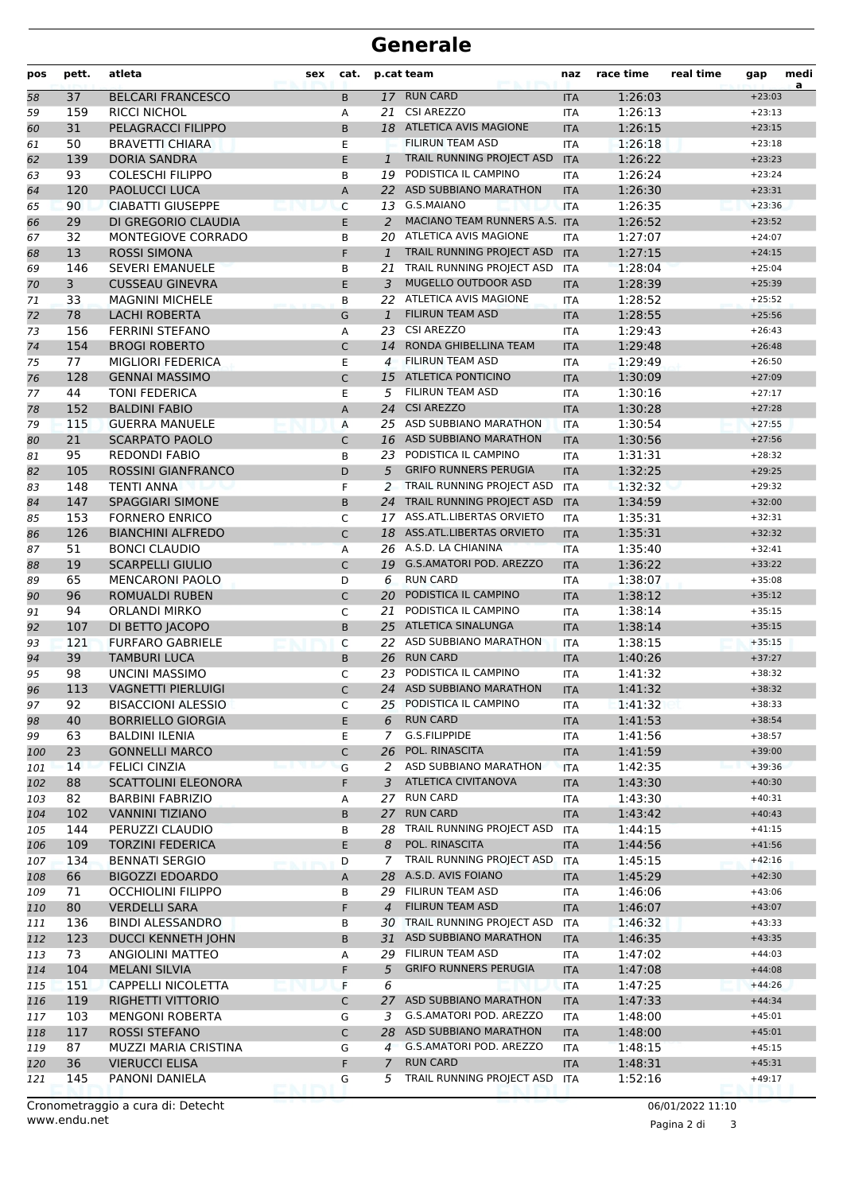## **Generale**

| pos | pett. | atleta                     | sex           | cat.         |                | p.cat team                     | naz        | race time | real time | gap      | medi<br>a |
|-----|-------|----------------------------|---------------|--------------|----------------|--------------------------------|------------|-----------|-----------|----------|-----------|
| 58  | 37    | <b>BELCARI FRANCESCO</b>   |               | B            |                | 17 RUN CARD                    | <b>ITA</b> | 1:26:03   |           | $+23:03$ |           |
| 59  | 159   | <b>RICCI NICHOL</b>        |               | Α            | 21             | <b>CSI AREZZO</b>              | <b>ITA</b> | 1:26:13   |           | $+23:13$ |           |
| 60  | 31    | <b>PELAGRACCI FILIPPO</b>  |               | B.           |                | 18 ATLETICA AVIS MAGIONE       | <b>ITA</b> | 1:26:15   |           | $+23:15$ |           |
| 61  | 50    | <b>BRAVETTI CHIARA</b>     |               | E            |                | <b>FILIRUN TEAM ASD</b>        | <b>ITA</b> | 1:26:18   |           | $+23:18$ |           |
| 62  | 139   | <b>DORIA SANDRA</b>        |               | E.           | $\mathbf{1}$   | TRAIL RUNNING PROJECT ASD      | <b>ITA</b> | 1:26:22   |           | $+23:23$ |           |
| 63  | 93    | <b>COLESCHI FILIPPO</b>    |               | B            | 19             | PODISTICA IL CAMPINO           | <b>ITA</b> | 1:26:24   |           | $+23:24$ |           |
| 64  | 120   | <b>PAOLUCCI LUCA</b>       |               | A            | 22             | ASD SUBBIANO MARATHON          | <b>ITA</b> | 1:26:30   |           | $+23:31$ |           |
| 65  | 90    | <b>CIABATTI GIUSEPPE</b>   |               | C            |                | 13 G.S.MAIANO                  | <b>ITA</b> | 1:26:35   |           | $+23:36$ |           |
| 66  | 29    | DI GREGORIO CLAUDIA        |               | E.           | 2              | MACIANO TEAM RUNNERS A.S. ITA  |            | 1:26:52   |           | $+23:52$ |           |
| 67  | 32    | MONTEGIOVE CORRADO         |               | B            | 20             | ATLETICA AVIS MAGIONE          | <b>ITA</b> | 1:27:07   |           | $+24:07$ |           |
| 68  | 13    | <b>ROSSI SIMONA</b>        |               | F            | $\mathbf{1}$   | TRAIL RUNNING PROJECT ASD      | <b>ITA</b> | 1:27:15   |           | $+24:15$ |           |
| 69  | 146   | <b>SEVERI EMANUELE</b>     |               | B            | 21             | TRAIL RUNNING PROJECT ASD      | <b>ITA</b> | 1:28:04   |           | $+25:04$ |           |
| 70  | 3     | <b>CUSSEAU GINEVRA</b>     |               | E            | 3              | MUGELLO OUTDOOR ASD            | <b>ITA</b> | 1:28:39   |           | $+25:39$ |           |
| 71  | 33    | <b>MAGNINI MICHELE</b>     |               | B            |                | 22 ATLETICA AVIS MAGIONE       | <b>ITA</b> | 1:28:52   |           | $+25:52$ |           |
| 72  | 78    | <b>LACHI ROBERTA</b>       |               | G            | $\mathbf{1}$   | <b>FILIRUN TEAM ASD</b>        | <b>ITA</b> | 1:28:55   |           | $+25:56$ |           |
| 73  | 156   | <b>FERRINI STEFANO</b>     |               | Α            | 23             | <b>CSI AREZZO</b>              | ITA        | 1:29:43   |           | $+26:43$ |           |
| 74  | 154   | <b>BROGI ROBERTO</b>       |               | C            | 14             | RONDA GHIBELLINA TEAM          | <b>ITA</b> | 1:29:48   |           | $+26:48$ |           |
| 75  | 77    | MIGLIORI FEDERICA          |               | E            | 4              | <b>FILIRUN TEAM ASD</b>        | <b>ITA</b> | 1:29:49   |           | $+26:50$ |           |
| 76  | 128   | <b>GENNAI MASSIMO</b>      |               | C            | 15             | <b>ATLETICA PONTICINO</b>      | <b>ITA</b> | 1:30:09   |           | $+27:09$ |           |
| 77  | 44    | <b>TONI FEDERICA</b>       |               | E            | 5              | <b>FILIRUN TEAM ASD</b>        | <b>ITA</b> | 1:30:16   |           | $+27:17$ |           |
| 78  | 152   | <b>BALDINI FABIO</b>       |               | A            | 24             | <b>CSI AREZZO</b>              | <b>ITA</b> | 1:30:28   |           | $+27:28$ |           |
| 79  | 115   | <b>GUERRA MANUELE</b>      |               | Α            | 25             | ASD SUBBIANO MARATHON          | <b>ITA</b> | 1:30:54   |           | $+27:55$ |           |
| 80  | 21    | <b>SCARPATO PAOLO</b>      |               | C            | 16             | <b>ASD SUBBIANO MARATHON</b>   | <b>ITA</b> | 1:30:56   |           | $+27:56$ |           |
| 81  | 95    | <b>REDONDI FABIO</b>       |               | B            | 23             | PODISTICA IL CAMPINO           | <b>ITA</b> | 1:31:31   |           | $+28:32$ |           |
| 82  | 105   | <b>ROSSINI GIANFRANCO</b>  |               | D            | 5              | <b>GRIFO RUNNERS PERUGIA</b>   | <b>ITA</b> | 1:32:25   |           | $+29:25$ |           |
| 83  | 148   | TENTI ANNA                 |               | F            | 2              | TRAIL RUNNING PROJECT ASD      | <b>ITA</b> | 1:32:32   |           | $+29:32$ |           |
| 84  | 147   | <b>SPAGGIARI SIMONE</b>    |               | B            | 24             | TRAIL RUNNING PROJECT ASD      | <b>ITA</b> | 1:34:59   |           | $+32:00$ |           |
| 85  | 153   | <b>FORNERO ENRICO</b>      |               | C            | 17             | ASS.ATL.LIBERTAS ORVIETO       | <b>ITA</b> | 1:35:31   |           | $+32:31$ |           |
| 86  | 126   | <b>BIANCHINI ALFREDO</b>   |               | C            |                | 18 ASS.ATL.LIBERTAS ORVIETO    | <b>ITA</b> | 1:35:31   |           | $+32:32$ |           |
| 87  | 51    | <b>BONCI CLAUDIO</b>       |               | Α            |                | 26 A.S.D. LA CHIANINA          | <b>ITA</b> | 1:35:40   |           | $+32:41$ |           |
| 88  | 19    | <b>SCARPELLI GIULIO</b>    |               | C            | 19             | <b>G.S.AMATORI POD. AREZZO</b> | <b>ITA</b> | 1:36:22   |           | $+33:22$ |           |
| 89  | 65    | <b>MENCARONI PAOLO</b>     |               | D            | 6              | <b>RUN CARD</b>                | <b>ITA</b> | 1:38:07   |           | $+35:08$ |           |
| 90  | 96    | <b>ROMUALDI RUBEN</b>      |               | $\mathsf{C}$ | 20             | PODISTICA IL CAMPINO           | <b>ITA</b> | 1:38:12   |           | $+35:12$ |           |
| 91  | 94    | <b>ORLANDI MIRKO</b>       |               | C            | 21             | PODISTICA IL CAMPINO           | ITA        | 1:38:14   |           | $+35:15$ |           |
| 92  | 107   | DI BETTO JACOPO            |               | B            | 25             | <b>ATLETICA SINALUNGA</b>      | <b>ITA</b> | 1:38:14   |           | $+35:15$ |           |
| 93  | 121   | <b>FURFARO GABRIELE</b>    |               | C            | 22             | ASD SUBBIANO MARATHON          | <b>ITA</b> | 1:38:15   |           | $+35:15$ |           |
| 94  | 39    | <b>TAMBURI LUCA</b>        |               | B            | 26             | <b>RUN CARD</b>                | <b>ITA</b> | 1:40:26   |           | $+37:27$ |           |
| 95  | 98    | <b>UNCINI MASSIMO</b>      |               | C            | 23             | PODISTICA IL CAMPINO           | <b>ITA</b> | 1:41:32   |           | $+38:32$ |           |
| 96  | 113   | <b>VAGNETTI PIERLUIGI</b>  |               | $\mathsf{C}$ |                | 24 ASD SUBBIANO MARATHON       | <b>ITA</b> | 1:41:32   |           | $+38:32$ |           |
| 97  | 92    | <b>BISACCIONI ALESSIO</b>  |               | C            | 25             | PODISTICA IL CAMPINO           | <b>ITA</b> | 1:41:32   |           | $+38:33$ |           |
| 98  | 40    | <b>BORRIELLO GIORGIA</b>   |               | E.           | 6              | <b>RUN CARD</b>                | <b>ITA</b> | 1:41:53   |           | $+38:54$ |           |
| 99  | 63    | <b>BALDINI ILENIA</b>      |               | E            | $\overline{7}$ | G.S.FILIPPIDE                  | ITA        | 1:41:56   |           | $+38:57$ |           |
| 100 | 23    | <b>GONNELLI MARCO</b>      |               | C            | 26             | POL. RINASCITA                 | <b>ITA</b> | 1:41:59   |           | $+39:00$ |           |
| 101 | 14    | <b>FELICI CINZIA</b>       |               | G            | 2              | ASD SUBBIANO MARATHON          | <b>ITA</b> | 1:42:35   |           | $+39:36$ |           |
| 102 | 88    | <b>SCATTOLINI ELEONORA</b> |               | F            | 3              | <b>ATLETICA CIVITANOVA</b>     | <b>ITA</b> | 1:43:30   |           | $+40:30$ |           |
| 103 | 82    | <b>BARBINI FABRIZIO</b>    |               | А            | 27             | <b>RUN CARD</b>                | ITA        | 1:43:30   |           | $+40:31$ |           |
| 104 | 102   | <b>VANNINI TIZIANO</b>     |               | В            | 27             | <b>RUN CARD</b>                | <b>ITA</b> | 1:43:42   |           | $+40:43$ |           |
| 105 | 144   | PERUZZI CLAUDIO            |               | В            | 28             | TRAIL RUNNING PROJECT ASD      | <b>ITA</b> | 1:44:15   |           | $+41:15$ |           |
| 106 | 109   | <b>TORZINI FEDERICA</b>    |               | E            | 8              | POL. RINASCITA                 | <b>ITA</b> | 1:44:56   |           | $+41:56$ |           |
| 107 | 134   | <b>BENNATI SERGIO</b>      |               | D            | 7              | TRAIL RUNNING PROJECT ASD      | <b>ITA</b> | 1:45:15   |           | $+42:16$ |           |
| 108 | 66    | <b>BIGOZZI EDOARDO</b>     |               | Α            | 28             | A.S.D. AVIS FOIANO             | <b>ITA</b> | 1:45:29   |           | $+42:30$ |           |
| 109 | 71    | <b>OCCHIOLINI FILIPPO</b>  |               | В            |                | 29 FILIRUN TEAM ASD            | ITA        | 1:46:06   |           | $+43:06$ |           |
| 110 | 80    | <b>VERDELLI SARA</b>       |               | F            | 4              | <b>FILIRUN TEAM ASD</b>        | <b>ITA</b> | 1:46:07   |           | $+43:07$ |           |
| 111 | 136   | <b>BINDI ALESSANDRO</b>    |               | В            | 30             | TRAIL RUNNING PROJECT ASD      | <b>ITA</b> | 1:46:32   |           | $+43:33$ |           |
| 112 | 123   | <b>DUCCI KENNETH JOHN</b>  |               | B            | 31             | ASD SUBBIANO MARATHON          | <b>ITA</b> | 1:46:35   |           | $+43:35$ |           |
| 113 | 73    | ANGIOLINI MATTEO           |               | А            |                | 29 FILIRUN TEAM ASD            | <b>ITA</b> | 1:47:02   |           | $+44:03$ |           |
| 114 | 104   | <b>MELANI SILVIA</b>       |               | F.           | 5              | <b>GRIFO RUNNERS PERUGIA</b>   | <b>ITA</b> | 1:47:08   |           | $+44:08$ |           |
| 115 | 151   | <b>CAPPELLI NICOLETTA</b>  |               | F            | 6              |                                | <b>ITA</b> | 1:47:25   |           | $+44:26$ |           |
| 116 | 119   | RIGHETTI VITTORIO          |               | C            | 27             | ASD SUBBIANO MARATHON          | <b>ITA</b> | 1:47:33   |           | $+44:34$ |           |
| 117 | 103   | <b>MENGONI ROBERTA</b>     |               | G            | 3              | G.S.AMATORI POD. AREZZO        | <b>ITA</b> | 1:48:00   |           | $+45:01$ |           |
| 118 | 117   | ROSSI STEFANO              |               | C            | 28             | ASD SUBBIANO MARATHON          | <b>ITA</b> | 1:48:00   |           | $+45:01$ |           |
| 119 | 87    | MUZZI MARIA CRISTINA       |               | G            | $\overline{4}$ | G.S.AMATORI POD. AREZZO        | <b>ITA</b> | 1:48:15   |           | $+45:15$ |           |
| 120 | 36    | <b>VIERUCCI ELISA</b>      |               | F.           | $\overline{7}$ | <b>RUN CARD</b>                | <b>ITA</b> | 1:48:31   |           | $+45:31$ |           |
| 121 | 145   | PANONI DANIELA             |               | G            | 5              | TRAIL RUNNING PROJECT ASD      | ITA        | 1:52:16   |           | $+49:17$ |           |
|     |       |                            | <b>PER IN</b> |              |                |                                |            |           |           |          |           |

Pagina 2 di 3